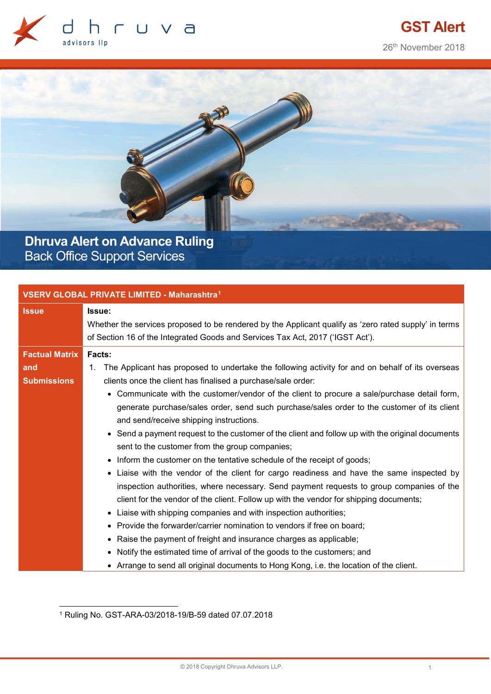



**Dhruva Alert on Advance Ruling** Back Office Support Services

| <b>VSERV GLOBAL PRIVATE LIMITED - Maharashtra<sup>1</sup></b> |                                                                                                                                                                                                                                                                                                                                                                                                                                                                                                                                                                                                                                                                                                                                                           |  |
|---------------------------------------------------------------|-----------------------------------------------------------------------------------------------------------------------------------------------------------------------------------------------------------------------------------------------------------------------------------------------------------------------------------------------------------------------------------------------------------------------------------------------------------------------------------------------------------------------------------------------------------------------------------------------------------------------------------------------------------------------------------------------------------------------------------------------------------|--|
| <b>Issue</b>                                                  | Issue:<br>Whether the services proposed to be rendered by the Applicant qualify as 'zero rated supply' in terms<br>of Section 16 of the Integrated Goods and Services Tax Act, 2017 ('IGST Act').                                                                                                                                                                                                                                                                                                                                                                                                                                                                                                                                                         |  |
| <b>Factual Matrix</b><br>and<br><b>Submissions</b>            | Facts:<br>The Applicant has proposed to undertake the following activity for and on behalf of its overseas<br>1.<br>clients once the client has finalised a purchase/sale order:<br>• Communicate with the customer/vendor of the client to procure a sale/purchase detail form,<br>generate purchase/sales order, send such purchase/sales order to the customer of its client<br>and send/receive shipping instructions.<br>• Send a payment request to the customer of the client and follow up with the original documents<br>sent to the customer from the group companies;<br>• Inform the customer on the tentative schedule of the receipt of goods;<br>• Liaise with the vendor of the client for cargo readiness and have the same inspected by |  |
|                                                               | inspection authorities, where necessary. Send payment requests to group companies of the<br>client for the vendor of the client. Follow up with the vendor for shipping documents;<br>• Liaise with shipping companies and with inspection authorities;<br>Provide the forwarder/carrier nomination to vendors if free on board;<br>Raise the payment of freight and insurance charges as applicable;<br>Notify the estimated time of arrival of the goods to the customers; and<br>• Arrange to send all original documents to Hong Kong, i.e. the location of the client.                                                                                                                                                                               |  |

<span id="page-0-0"></span> <sup>1</sup> Ruling No. GST-ARA-03/2018-19/B-59 dated 07.07.2018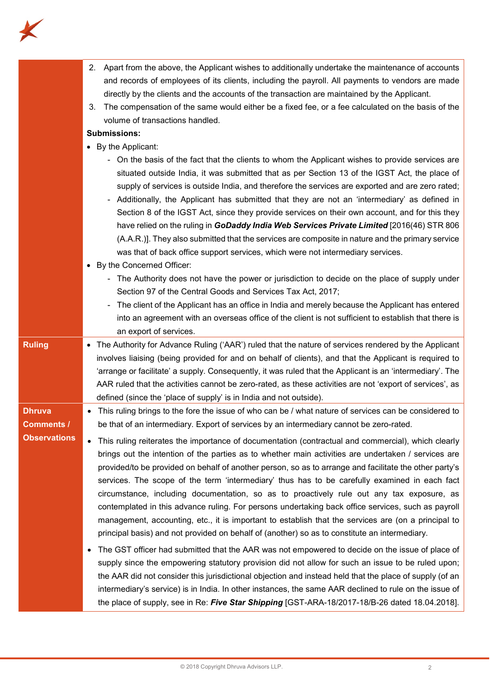

|                     | 2. Apart from the above, the Applicant wishes to additionally undertake the maintenance of accounts<br>and records of employees of its clients, including the payroll. All payments to vendors are made<br>directly by the clients and the accounts of the transaction are maintained by the Applicant.<br>The compensation of the same would either be a fixed fee, or a fee calculated on the basis of the<br>3.<br>volume of transactions handled.                                                                                                                                                                                                                                                                                                                                      |
|---------------------|--------------------------------------------------------------------------------------------------------------------------------------------------------------------------------------------------------------------------------------------------------------------------------------------------------------------------------------------------------------------------------------------------------------------------------------------------------------------------------------------------------------------------------------------------------------------------------------------------------------------------------------------------------------------------------------------------------------------------------------------------------------------------------------------|
|                     | <b>Submissions:</b>                                                                                                                                                                                                                                                                                                                                                                                                                                                                                                                                                                                                                                                                                                                                                                        |
|                     | • By the Applicant:                                                                                                                                                                                                                                                                                                                                                                                                                                                                                                                                                                                                                                                                                                                                                                        |
|                     | - On the basis of the fact that the clients to whom the Applicant wishes to provide services are<br>situated outside India, it was submitted that as per Section 13 of the IGST Act, the place of<br>supply of services is outside India, and therefore the services are exported and are zero rated;<br>Additionally, the Applicant has submitted that they are not an 'intermediary' as defined in<br>Section 8 of the IGST Act, since they provide services on their own account, and for this they<br>have relied on the ruling in GoDaddy India Web Services Private Limited [2016(46) STR 806<br>(A.A.R.)]. They also submitted that the services are composite in nature and the primary service<br>was that of back office support services, which were not intermediary services. |
|                     | • By the Concerned Officer:                                                                                                                                                                                                                                                                                                                                                                                                                                                                                                                                                                                                                                                                                                                                                                |
|                     | - The Authority does not have the power or jurisdiction to decide on the place of supply under                                                                                                                                                                                                                                                                                                                                                                                                                                                                                                                                                                                                                                                                                             |
|                     | Section 97 of the Central Goods and Services Tax Act, 2017;                                                                                                                                                                                                                                                                                                                                                                                                                                                                                                                                                                                                                                                                                                                                |
|                     | The client of the Applicant has an office in India and merely because the Applicant has entered                                                                                                                                                                                                                                                                                                                                                                                                                                                                                                                                                                                                                                                                                            |
|                     | into an agreement with an overseas office of the client is not sufficient to establish that there is                                                                                                                                                                                                                                                                                                                                                                                                                                                                                                                                                                                                                                                                                       |
|                     | an export of services.                                                                                                                                                                                                                                                                                                                                                                                                                                                                                                                                                                                                                                                                                                                                                                     |
| <b>Ruling</b>       | • The Authority for Advance Ruling ('AAR') ruled that the nature of services rendered by the Applicant                                                                                                                                                                                                                                                                                                                                                                                                                                                                                                                                                                                                                                                                                     |
|                     | involves liaising (being provided for and on behalf of clients), and that the Applicant is required to                                                                                                                                                                                                                                                                                                                                                                                                                                                                                                                                                                                                                                                                                     |
|                     | 'arrange or facilitate' a supply. Consequently, it was ruled that the Applicant is an 'intermediary'. The                                                                                                                                                                                                                                                                                                                                                                                                                                                                                                                                                                                                                                                                                  |
|                     | AAR ruled that the activities cannot be zero-rated, as these activities are not 'export of services', as                                                                                                                                                                                                                                                                                                                                                                                                                                                                                                                                                                                                                                                                                   |
|                     | defined (since the 'place of supply' is in India and not outside).                                                                                                                                                                                                                                                                                                                                                                                                                                                                                                                                                                                                                                                                                                                         |
| <b>Dhruva</b>       | This ruling brings to the fore the issue of who can be / what nature of services can be considered to<br>$\bullet$                                                                                                                                                                                                                                                                                                                                                                                                                                                                                                                                                                                                                                                                         |
| Comments /          | be that of an intermediary. Export of services by an intermediary cannot be zero-rated.                                                                                                                                                                                                                                                                                                                                                                                                                                                                                                                                                                                                                                                                                                    |
| <b>Observations</b> | • This ruling reiterates the importance of documentation (contractual and commercial), which clearly                                                                                                                                                                                                                                                                                                                                                                                                                                                                                                                                                                                                                                                                                       |
|                     | brings out the intention of the parties as to whether main activities are undertaken / services are<br>provided/to be provided on behalf of another person, so as to arrange and facilitate the other party's<br>services. The scope of the term 'intermediary' thus has to be carefully examined in each fact<br>circumstance, including documentation, so as to proactively rule out any tax exposure, as                                                                                                                                                                                                                                                                                                                                                                                |
|                     | contemplated in this advance ruling. For persons undertaking back office services, such as payroll<br>management, accounting, etc., it is important to establish that the services are (on a principal to<br>principal basis) and not provided on behalf of (another) so as to constitute an intermediary.                                                                                                                                                                                                                                                                                                                                                                                                                                                                                 |
|                     | The GST officer had submitted that the AAR was not empowered to decide on the issue of place of<br>$\bullet$<br>supply since the empowering statutory provision did not allow for such an issue to be ruled upon;<br>the AAR did not consider this jurisdictional objection and instead held that the place of supply (of an<br>intermediary's service) is in India. In other instances, the same AAR declined to rule on the issue of                                                                                                                                                                                                                                                                                                                                                     |
|                     | the place of supply, see in Re: Five Star Shipping [GST-ARA-18/2017-18/B-26 dated 18.04.2018].                                                                                                                                                                                                                                                                                                                                                                                                                                                                                                                                                                                                                                                                                             |